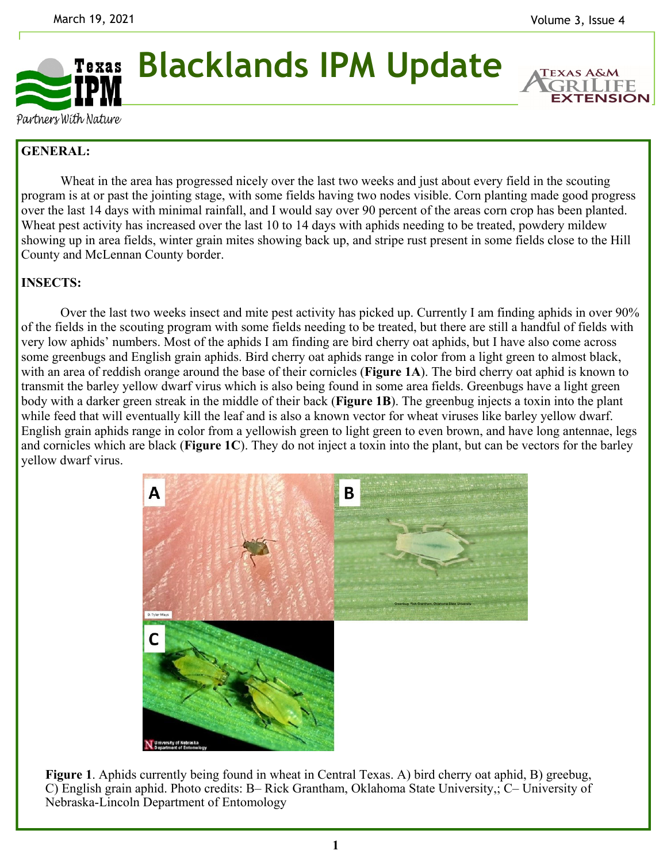

**Blacklands IPM Update** 

**EXTENSION** 

Partners With Nature

## **GENERAL:**

 Wheat in the area has progressed nicely over the last two weeks and just about every field in the scouting program is at or past the jointing stage, with some fields having two nodes visible. Corn planting made good progress over the last 14 days with minimal rainfall, and I would say over 90 percent of the areas corn crop has been planted. Wheat pest activity has increased over the last 10 to 14 days with aphids needing to be treated, powdery mildew showing up in area fields, winter grain mites showing back up, and stripe rust present in some fields close to the Hill County and McLennan County border.

## **INSECTS:**

 Over the last two weeks insect and mite pest activity has picked up. Currently I am finding aphids in over 90% of the fields in the scouting program with some fields needing to be treated, but there are still a handful of fields with very low aphids' numbers. Most of the aphids I am finding are bird cherry oat aphids, but I have also come across some greenbugs and English grain aphids. Bird cherry oat aphids range in color from a light green to almost black, with an area of reddish orange around the base of their cornicles (**Figure 1A**). The bird cherry oat aphid is known to transmit the barley yellow dwarf virus which is also being found in some area fields. Greenbugs have a light green body with a darker green streak in the middle of their back (**Figure 1B**). The greenbug injects a toxin into the plant while feed that will eventually kill the leaf and is also a known vector for wheat viruses like barley yellow dwarf. English grain aphids range in color from a yellowish green to light green to even brown, and have long antennae, legs and cornicles which are black (**Figure 1C**). They do not inject a toxin into the plant, but can be vectors for the barley yellow dwarf virus.



**Figure 1**. Aphids currently being found in wheat in Central Texas. A) bird cherry oat aphid, B) greebug, C) English grain aphid. Photo credits: B– Rick Grantham, Oklahoma State University,; C– University of Nebraska-Lincoln Department of Entomology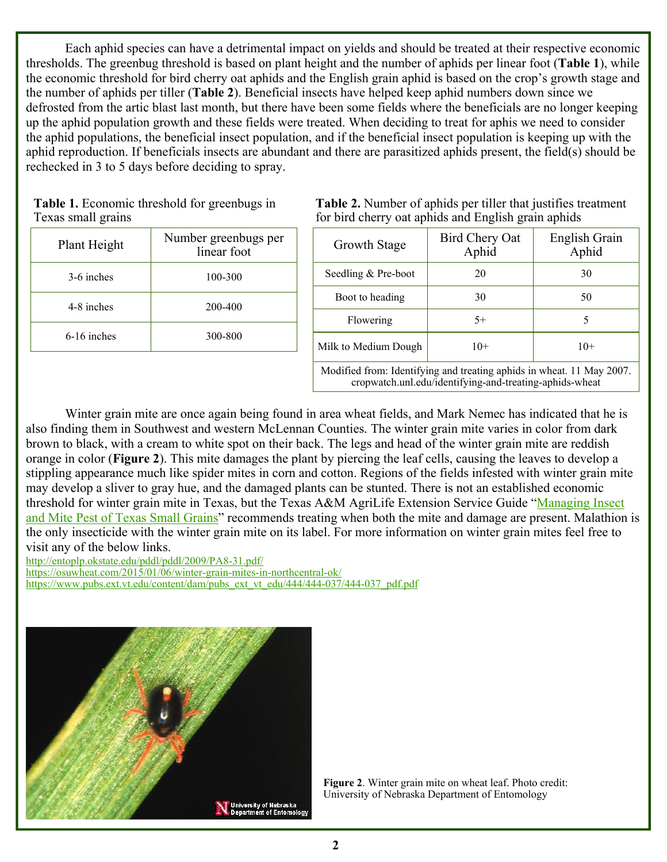Each aphid species can have a detrimental impact on yields and should be treated at their respective economic thresholds. The greenbug threshold is based on plant height and the number of aphids per linear foot (**Table 1**), while the economic threshold for bird cherry oat aphids and the English grain aphid is based on the crop's growth stage and the number of aphids per tiller (**Table 2**). Beneficial insects have helped keep aphid numbers down since we defrosted from the artic blast last month, but there have been some fields where the beneficials are no longer keeping up the aphid population growth and these fields were treated. When deciding to treat for aphis we need to consider the aphid populations, the beneficial insect population, and if the beneficial insect population is keeping up with the aphid reproduction. If beneficials insects are abundant and there are parasitized aphids present, the field(s) should be rechecked in 3 to 5 days before deciding to spray.

| <b>Table 1.</b> Economic threshold for greenbugs in |  |
|-----------------------------------------------------|--|
| Texas small grains                                  |  |

| Plant Height  | Number greenbugs per<br>linear foot |
|---------------|-------------------------------------|
| 3-6 inches    | 100-300                             |
| 4-8 inches    | 200-400                             |
| $6-16$ inches | 300-800                             |

**Table 2.** Number of aphids per tiller that justifies treatment for bird cherry oat aphids and English grain aphids

| Growth Stage         | Bird Chery Oat<br>Aphid | English Grain<br>Aphid |
|----------------------|-------------------------|------------------------|
| Seedling & Pre-boot  | 20                      | 30                     |
| Boot to heading      | 30                      | 50                     |
| Flowering            | $5+$                    |                        |
| Milk to Medium Dough | $10+$                   | $10+$                  |

Modified from: Identifying and treating aphids in wheat. 11 May 2007. cropwatch.unl.edu/identifying-and-treating-aphids-wheat

 Winter grain mite are once again being found in area wheat fields, and Mark Nemec has indicated that he is also finding them in Southwest and western McLennan Counties. The winter grain mite varies in color from dark brown to black, with a cream to white spot on their back. The legs and head of the winter grain mite are reddish orange in color (**Figure 2**). This mite damages the plant by piercing the leaf cells, causing the leaves to develop a stippling appearance much like spider mites in corn and cotton. Regions of the fields infested with winter grain mite may develop a sliver to gray hue, and the damaged plants can be stunted. There is not an established economic threshold for winter grain mite in Texas, but the Texas A&M AgriLife Extension Service Guide "Managing Insect and Mite Pest of Texas Small Grains" recommends treating when both the mite and damage are present. Malathion is the only insecticide with the winter grain mite on its label. For more information on winter grain mites feel free to visit any of the below links.

http://entoplp.okstate.edu/pddl/pddl/2009/PA8-31.pdf/

https://osuwheat.com/2015/01/06/winter-grain-mites-in-northcentral-ok/

https://www.pubs.ext.vt.edu/content/dam/pubs\_ext\_vt\_edu/444/444-037/444-037\_pdf.pdf



**Figure 2**. Winter grain mite on wheat leaf. Photo credit: University of Nebraska Department of Entomology